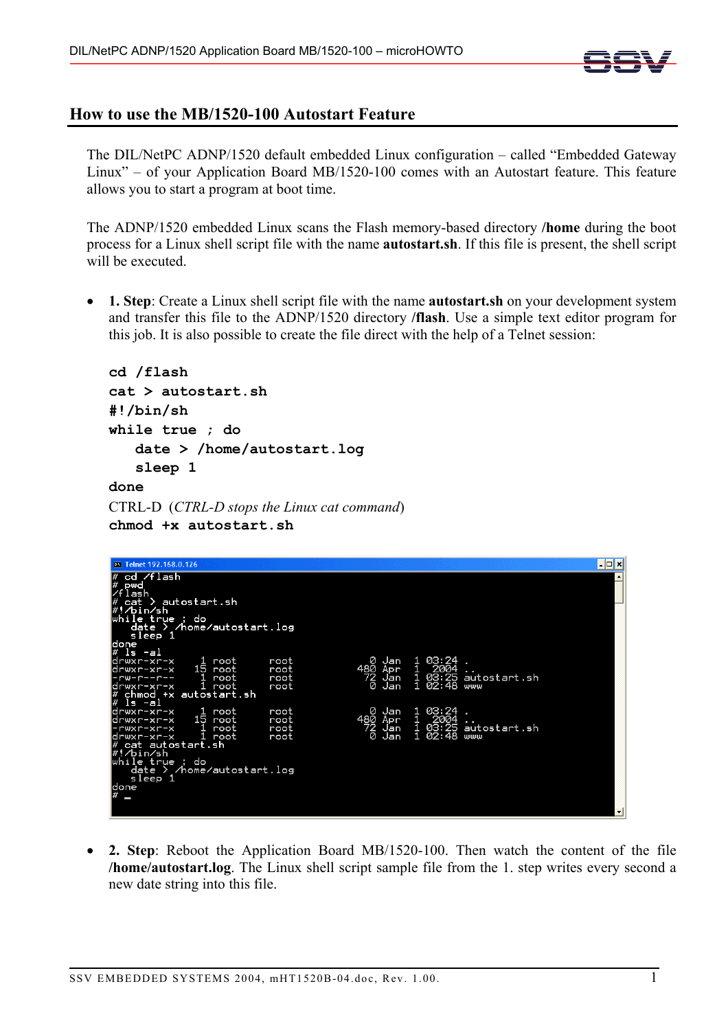

## **How to use the MB/1520-100 Autostart Feature**

The DIL/NetPC ADNP/1520 default embedded Linux configuration – called "Embedded Gateway Linux" – of your Application Board MB/1520-100 comes with an Autostart feature. This feature allows you to start a program at boot time.

The ADNP/1520 embedded Linux scans the Flash memory-based directory **/home** during the boot process for a Linux shell script file with the name **autostart.sh**. If this file is present, the shell script will be executed.

• **1. Step**: Create a Linux shell script file with the name **autostart.sh** on your development system and transfer this file to the ADNP/1520 directory **/flash**. Use a simple text editor program for this job. It is also possible to create the file direct with the help of a Telnet session:

```
cd /flash 
cat > autostart.sh 
#!/bin/sh 
while true ; do 
    date > /home/autostart.log 
    sleep 1 
done
```

```
CTRL-D (CTRL-D stops the Linux cat command) 
chmod +x autostart.sh
```

| ov Telnet 192.168.0.126                                                                                                                                                                                                         |                              |                                                 |                                                            |                           | –  □ × |
|---------------------------------------------------------------------------------------------------------------------------------------------------------------------------------------------------------------------------------|------------------------------|-------------------------------------------------|------------------------------------------------------------|---------------------------|--------|
| cd /flash<br>pwd<br>flash<br>> autostart.sh<br>cat<br>/#!⁄bin⁄sh<br>while true<br>: do<br>/home/autostart.log<br>date ><br>sleep 1<br>ldone                                                                                     |                              |                                                 |                                                            |                           |        |
| l#<br>ls -al<br>ldrwxr-xr-x<br>root<br>15 root<br>drwxr-xr-x<br>root<br>-rw-r-- <u>r--</u><br>ldrwxr-xr-x<br>root<br>ı.<br>chmod +x autosta <u>rt.sh</u><br>l#                                                                  | root<br>root<br>root<br>root | Ø<br>Jan<br>480<br>Apr<br>72<br>Jan<br>ø<br>Jan | 03:24<br>2004<br>q.<br>1<br>02:48                          | 03:25 autostart.sh<br>www |        |
| ls -al<br>drwxr-xr-x<br>1<br>root<br>15 root<br>ldrwxr-xr-x<br>root<br>-rwxr-xr-x<br>1<br>root<br>ldrwxr-xr-x<br>cat autostart.sh<br>∕bin⁄sh<br>while true ; do<br>/home/autostart.log<br>date ><br>sleep 1<br>done<br># _<br>ـ | root<br>root<br>root<br>root | Ø<br>Jan<br>480<br>Apr<br>72<br>0<br>Jan<br>Jan | 03:24<br>$\scriptstyle{\frac{1}{1}}$<br>2004<br>1<br>02:48 | 03:25 autostart.sh<br>www |        |
|                                                                                                                                                                                                                                 |                              |                                                 |                                                            |                           |        |

• **2. Step**: Reboot the Application Board MB/1520-100. Then watch the content of the file **/home/autostart.log**. The Linux shell script sample file from the 1. step writes every second a new date string into this file.